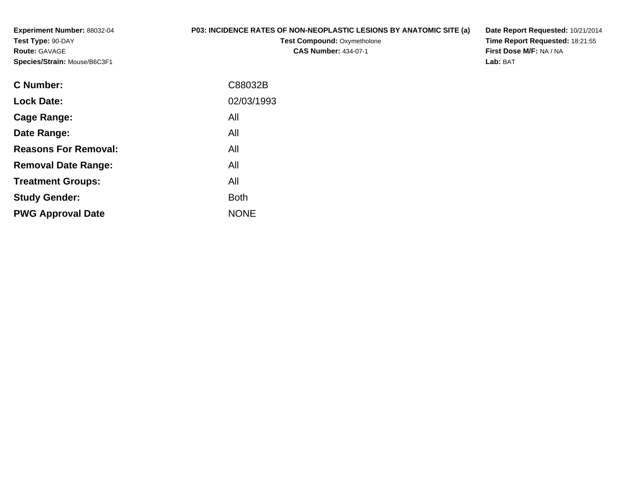**Experiment Number:** 88032-04**Test Type:** 90-DAY**Route:** GAVAGE**Species/Strain:** Mouse/B6C3F1

## **P03: INCIDENCE RATES OF NON-NEOPLASTIC LESIONS BY ANATOMIC SITE (a)**

**Test Compound: Oxymetholone CAS Number:** 434-07-1

**Date Report Requested:** 10/21/2014 **Time Report Requested:** 18:21:55**First Dose M/F:** NA / NA**Lab:** BAT

| C Number:                   | C88032B     |
|-----------------------------|-------------|
| <b>Lock Date:</b>           | 02/03/1993  |
| Cage Range:                 | All         |
| Date Range:                 | All         |
| <b>Reasons For Removal:</b> | All         |
| <b>Removal Date Range:</b>  | All         |
| <b>Treatment Groups:</b>    | All         |
| <b>Study Gender:</b>        | <b>Both</b> |
| <b>PWG Approval Date</b>    | <b>NONE</b> |
|                             |             |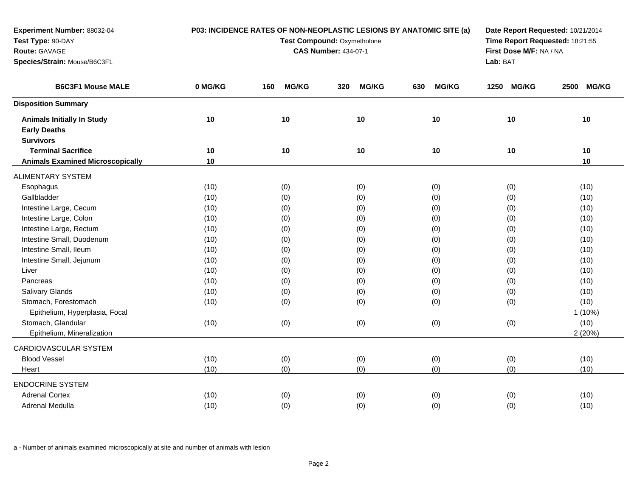| Experiment Number: 88032-04             | P03: INCIDENCE RATES OF NON-NEOPLASTIC LESIONS BY ANATOMIC SITE (a) |                             |                         | Date Report Requested: 10/21/2014 |                                 |                      |  |
|-----------------------------------------|---------------------------------------------------------------------|-----------------------------|-------------------------|-----------------------------------|---------------------------------|----------------------|--|
| Test Type: 90-DAY                       | Test Compound: Oxymetholone                                         |                             |                         |                                   | Time Report Requested: 18:21:55 |                      |  |
| Route: GAVAGE                           |                                                                     | <b>CAS Number: 434-07-1</b> | First Dose M/F: NA / NA |                                   |                                 |                      |  |
| Species/Strain: Mouse/B6C3F1            |                                                                     |                             |                         |                                   | Lab: BAT                        |                      |  |
| <b>B6C3F1 Mouse MALE</b>                | 0 MG/KG                                                             | <b>MG/KG</b><br>160         | <b>MG/KG</b><br>320     | 630<br><b>MG/KG</b>               | <b>MG/KG</b><br>1250            | <b>MG/KG</b><br>2500 |  |
| <b>Disposition Summary</b>              |                                                                     |                             |                         |                                   |                                 |                      |  |
| <b>Animals Initially In Study</b>       | 10                                                                  | 10                          | 10                      | 10                                | 10                              | 10                   |  |
| <b>Early Deaths</b>                     |                                                                     |                             |                         |                                   |                                 |                      |  |
| <b>Survivors</b>                        |                                                                     |                             |                         |                                   |                                 |                      |  |
| <b>Terminal Sacrifice</b>               | 10                                                                  | 10                          | 10                      | 10                                | 10                              | $10$                 |  |
| <b>Animals Examined Microscopically</b> | $10$                                                                |                             |                         |                                   |                                 | 10                   |  |
| <b>ALIMENTARY SYSTEM</b>                |                                                                     |                             |                         |                                   |                                 |                      |  |
| Esophagus                               | (10)                                                                | (0)                         | (0)                     | (0)                               | (0)                             | (10)                 |  |
| Gallbladder                             | (10)                                                                | (0)                         | (0)                     | (0)                               | (0)                             | (10)                 |  |
| Intestine Large, Cecum                  | (10)                                                                | (0)                         | (0)                     | (0)                               | (0)                             | (10)                 |  |
| Intestine Large, Colon                  | (10)                                                                | (0)                         | (0)                     | (0)                               | (0)                             | (10)                 |  |
| Intestine Large, Rectum                 | (10)                                                                | (0)                         | (0)                     | (0)                               | (0)                             | (10)                 |  |
| Intestine Small, Duodenum               | (10)                                                                | (0)                         | (0)                     | (0)                               | (0)                             | (10)                 |  |
| Intestine Small, Ileum                  | (10)                                                                | (0)                         | (0)                     | (0)                               | (0)                             | (10)                 |  |
| Intestine Small, Jejunum                | (10)                                                                | (0)                         | (0)                     | (0)                               | (0)                             | (10)                 |  |
| Liver                                   | (10)                                                                | (0)                         | (0)                     | (0)                               | (0)                             | (10)                 |  |
| Pancreas                                | (10)                                                                | (0)                         | (0)                     | (0)                               | (0)                             | (10)                 |  |
| Salivary Glands                         | (10)                                                                | (0)                         | (0)                     | (0)                               | (0)                             | (10)                 |  |
| Stomach, Forestomach                    | (10)                                                                | (0)                         | (0)                     | (0)                               | (0)                             | (10)                 |  |
| Epithelium, Hyperplasia, Focal          |                                                                     |                             |                         |                                   |                                 | 1 (10%)              |  |
| Stomach, Glandular                      | (10)                                                                | (0)                         | (0)                     | (0)                               | (0)                             | (10)                 |  |
| Epithelium, Mineralization              |                                                                     |                             |                         |                                   |                                 | 2(20%)               |  |
| CARDIOVASCULAR SYSTEM                   |                                                                     |                             |                         |                                   |                                 |                      |  |
| <b>Blood Vessel</b>                     | (10)                                                                | (0)                         | (0)                     | (0)                               | (0)                             | (10)                 |  |
| Heart                                   | (10)                                                                | (0)                         | (0)                     | (0)                               | (0)                             | (10)                 |  |
| <b>ENDOCRINE SYSTEM</b>                 |                                                                     |                             |                         |                                   |                                 |                      |  |
| <b>Adrenal Cortex</b>                   | (10)                                                                | (0)                         | (0)                     | (0)                               | (0)                             | (10)                 |  |
| Adrenal Medulla                         | (10)                                                                | (0)                         | (0)                     | (0)                               | (0)                             | (10)                 |  |
|                                         |                                                                     |                             |                         |                                   |                                 |                      |  |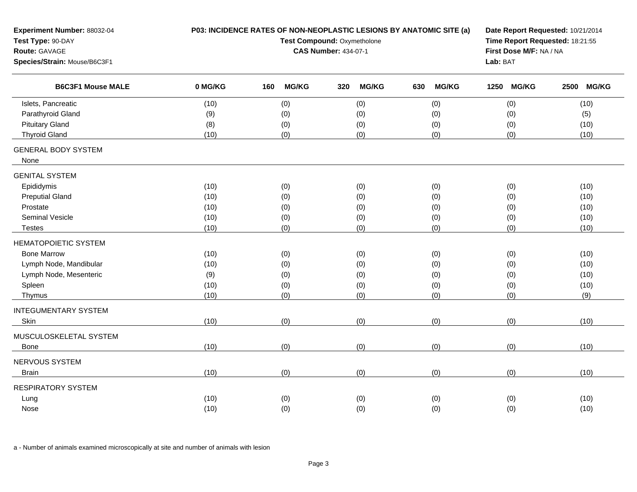| Experiment Number: 88032-04<br>Test Type: 90-DAY<br>Route: GAVAGE<br>Species/Strain: Mouse/B6C3F1 |         | P03: INCIDENCE RATES OF NON-NEOPLASTIC LESIONS BY ANATOMIC SITE (a)<br>Test Compound: Oxymetholone<br><b>CAS Number: 434-07-1</b> |                     |                     | Date Report Requested: 10/21/2014<br>Time Report Requested: 18:21:55<br>First Dose M/F: NA / NA<br>Lab: BAT |                      |
|---------------------------------------------------------------------------------------------------|---------|-----------------------------------------------------------------------------------------------------------------------------------|---------------------|---------------------|-------------------------------------------------------------------------------------------------------------|----------------------|
| <b>B6C3F1 Mouse MALE</b>                                                                          | 0 MG/KG | <b>MG/KG</b><br>160                                                                                                               | 320<br><b>MG/KG</b> | <b>MG/KG</b><br>630 | <b>MG/KG</b><br>1250                                                                                        | 2500<br><b>MG/KG</b> |
| Islets, Pancreatic                                                                                | (10)    | (0)                                                                                                                               | (0)                 | (0)                 | (0)                                                                                                         | (10)                 |
| Parathyroid Gland                                                                                 | (9)     | (0)                                                                                                                               | (0)                 | (0)                 | (0)                                                                                                         | (5)                  |
| <b>Pituitary Gland</b>                                                                            | (8)     | (0)                                                                                                                               | (0)                 | (0)                 | (0)                                                                                                         | (10)                 |
| <b>Thyroid Gland</b>                                                                              | (10)    | (0)                                                                                                                               | (0)                 | (0)                 | (0)                                                                                                         | (10)                 |
| <b>GENERAL BODY SYSTEM</b><br>None                                                                |         |                                                                                                                                   |                     |                     |                                                                                                             |                      |
| <b>GENITAL SYSTEM</b>                                                                             |         |                                                                                                                                   |                     |                     |                                                                                                             |                      |
| Epididymis                                                                                        | (10)    | (0)                                                                                                                               | (0)                 | (0)                 | (0)                                                                                                         | (10)                 |
| <b>Preputial Gland</b>                                                                            | (10)    | (0)                                                                                                                               | (0)                 | (0)                 | (0)                                                                                                         | (10)                 |
| Prostate                                                                                          | (10)    | (0)                                                                                                                               | (0)                 | (0)                 | (0)                                                                                                         | (10)                 |
| <b>Seminal Vesicle</b>                                                                            | (10)    | (0)                                                                                                                               | (0)                 | (0)                 | (0)                                                                                                         | (10)                 |
| <b>Testes</b>                                                                                     | (10)    | (0)                                                                                                                               | (0)                 | (0)                 | (0)                                                                                                         | (10)                 |
| <b>HEMATOPOIETIC SYSTEM</b>                                                                       |         |                                                                                                                                   |                     |                     |                                                                                                             |                      |
| <b>Bone Marrow</b>                                                                                | (10)    | (0)                                                                                                                               | (0)                 | (0)                 | (0)                                                                                                         | (10)                 |
| Lymph Node, Mandibular                                                                            | (10)    | (0)                                                                                                                               | (0)                 | (0)                 | (0)                                                                                                         | (10)                 |
| Lymph Node, Mesenteric                                                                            | (9)     | (0)                                                                                                                               | (0)                 | (0)                 | (0)                                                                                                         | (10)                 |
| Spleen                                                                                            | (10)    | (0)                                                                                                                               | (0)                 | (0)                 | (0)                                                                                                         | (10)                 |
| Thymus                                                                                            | (10)    | (0)                                                                                                                               | (0)                 | (0)                 | (0)                                                                                                         | (9)                  |
| <b>INTEGUMENTARY SYSTEM</b>                                                                       |         |                                                                                                                                   |                     |                     |                                                                                                             |                      |
| Skin                                                                                              | (10)    | (0)                                                                                                                               | (0)                 | (0)                 | (0)                                                                                                         | (10)                 |
| MUSCULOSKELETAL SYSTEM                                                                            |         |                                                                                                                                   |                     |                     |                                                                                                             |                      |
| Bone                                                                                              | (10)    | (0)                                                                                                                               | (0)                 | (0)                 | (0)                                                                                                         | (10)                 |
| NERVOUS SYSTEM                                                                                    |         |                                                                                                                                   |                     |                     |                                                                                                             |                      |
| <b>Brain</b>                                                                                      | (10)    | (0)                                                                                                                               | (0)                 | (0)                 | (0)                                                                                                         | (10)                 |
| <b>RESPIRATORY SYSTEM</b>                                                                         |         |                                                                                                                                   |                     |                     |                                                                                                             |                      |
| Lung                                                                                              | (10)    | (0)                                                                                                                               | (0)                 | (0)                 | (0)                                                                                                         | (10)                 |
| Nose                                                                                              | (10)    | (0)                                                                                                                               | (0)                 | (0)                 | (0)                                                                                                         | (10)                 |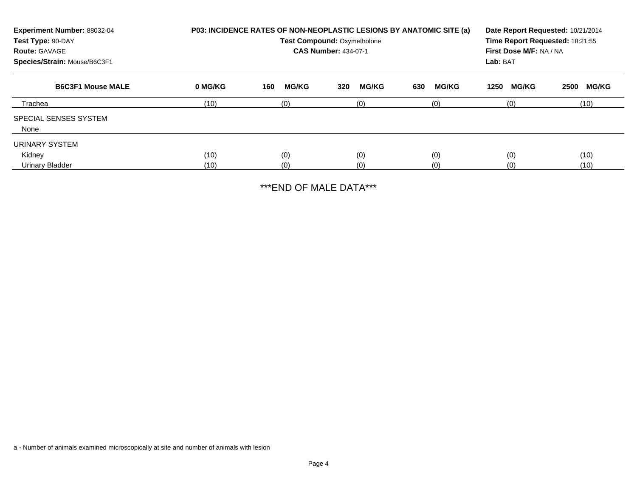| Experiment Number: 88032-04<br>Test Type: 90-DAY<br><b>Route: GAVAGE</b><br>Species/Strain: Mouse/B6C3F1 | P03: INCIDENCE RATES OF NON-NEOPLASTIC LESIONS BY ANATOMIC SITE (a) | Date Report Requested: 10/21/2014<br>Time Report Requested: 18:21:55<br>First Dose M/F: NA / NA<br>Lab: BAT |                     |                     |                      |                      |
|----------------------------------------------------------------------------------------------------------|---------------------------------------------------------------------|-------------------------------------------------------------------------------------------------------------|---------------------|---------------------|----------------------|----------------------|
| <b>B6C3F1 Mouse MALE</b>                                                                                 | 0 MG/KG                                                             | <b>MG/KG</b><br>160                                                                                         | <b>MG/KG</b><br>320 | 630<br><b>MG/KG</b> | <b>MG/KG</b><br>1250 | <b>MG/KG</b><br>2500 |
| Trachea                                                                                                  | (10)                                                                | (0)                                                                                                         | (0)                 | (0)                 | (0)                  | (10)                 |
| SPECIAL SENSES SYSTEM<br>None                                                                            |                                                                     |                                                                                                             |                     |                     |                      |                      |
| <b>URINARY SYSTEM</b>                                                                                    |                                                                     |                                                                                                             |                     |                     |                      |                      |
| Kidney                                                                                                   | (10)                                                                | (0)                                                                                                         | (0)                 | (0)                 | (0)                  | (10)                 |
| Urinary Bladder                                                                                          | (10)                                                                | (0)                                                                                                         | (0)                 | (0)                 | (0)                  | (10)                 |

\*\*\*END OF MALE DATA\*\*\*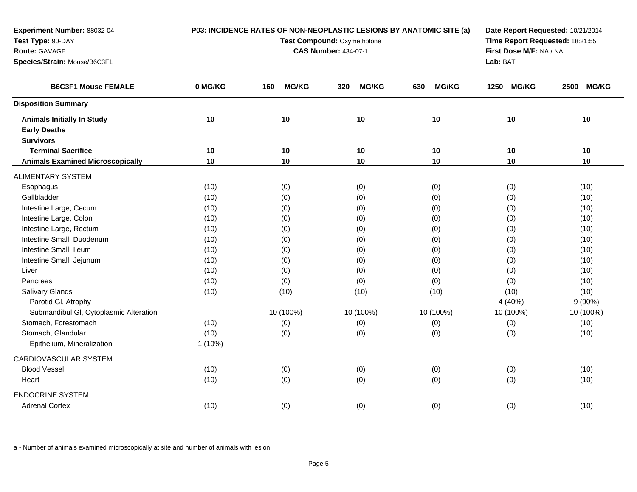| <b>Experiment Number: 88032-04</b><br>Test Type: 90-DAY<br>Route: GAVAGE<br>Species/Strain: Mouse/B6C3F1 |           | P03: INCIDENCE RATES OF NON-NEOPLASTIC LESIONS BY ANATOMIC SITE (a) | Test Compound: Oxymetholone<br><b>CAS Number: 434-07-1</b> |                     | Date Report Requested: 10/21/2014<br>Time Report Requested: 18:21:55<br>First Dose M/F: NA / NA<br>Lab: BAT |                      |
|----------------------------------------------------------------------------------------------------------|-----------|---------------------------------------------------------------------|------------------------------------------------------------|---------------------|-------------------------------------------------------------------------------------------------------------|----------------------|
| <b>B6C3F1 Mouse FEMALE</b>                                                                               | 0 MG/KG   | <b>MG/KG</b><br>160                                                 | <b>MG/KG</b><br>320                                        | <b>MG/KG</b><br>630 | <b>MG/KG</b><br>1250                                                                                        | 2500<br><b>MG/KG</b> |
| <b>Disposition Summary</b>                                                                               |           |                                                                     |                                                            |                     |                                                                                                             |                      |
| <b>Animals Initially In Study</b>                                                                        | 10        | 10                                                                  | 10                                                         | 10                  | 10                                                                                                          | 10                   |
| <b>Early Deaths</b>                                                                                      |           |                                                                     |                                                            |                     |                                                                                                             |                      |
| <b>Survivors</b>                                                                                         |           |                                                                     |                                                            |                     |                                                                                                             |                      |
| <b>Terminal Sacrifice</b>                                                                                | 10        | 10                                                                  | 10                                                         | 10                  | 10                                                                                                          | 10                   |
| <b>Animals Examined Microscopically</b>                                                                  | 10        | 10                                                                  | 10                                                         | 10                  | 10                                                                                                          | 10                   |
| <b>ALIMENTARY SYSTEM</b>                                                                                 |           |                                                                     |                                                            |                     |                                                                                                             |                      |
| Esophagus                                                                                                | (10)      | (0)                                                                 | (0)                                                        | (0)                 | (0)                                                                                                         | (10)                 |
| Gallbladder                                                                                              | (10)      | (0)                                                                 | (0)                                                        | (0)                 | (0)                                                                                                         | (10)                 |
| Intestine Large, Cecum                                                                                   | (10)      | (0)                                                                 | (0)                                                        | (0)                 | (0)                                                                                                         | (10)                 |
| Intestine Large, Colon                                                                                   | (10)      | (0)                                                                 | (0)                                                        | (0)                 | (0)                                                                                                         | (10)                 |
| Intestine Large, Rectum                                                                                  | (10)      | (0)                                                                 | (0)                                                        | (0)                 | (0)                                                                                                         | (10)                 |
| Intestine Small, Duodenum                                                                                | (10)      | (0)                                                                 | (0)                                                        | (0)                 | (0)                                                                                                         | (10)                 |
| Intestine Small, Ileum                                                                                   | (10)      | (0)                                                                 | (0)                                                        | (0)                 | (0)                                                                                                         | (10)                 |
| Intestine Small, Jejunum                                                                                 | (10)      | (0)                                                                 | (0)                                                        | (0)                 | (0)                                                                                                         | (10)                 |
| Liver                                                                                                    | (10)      | (0)                                                                 | (0)                                                        | (0)                 | (0)                                                                                                         | (10)                 |
| Pancreas                                                                                                 | (10)      | (0)                                                                 | (0)                                                        | (0)                 | (0)                                                                                                         | (10)                 |
| <b>Salivary Glands</b>                                                                                   | (10)      | (10)                                                                | (10)                                                       | (10)                | (10)                                                                                                        | (10)                 |
| Parotid GI, Atrophy                                                                                      |           |                                                                     |                                                            |                     | 4 (40%)                                                                                                     | 9(90%)               |
| Submandibul GI, Cytoplasmic Alteration                                                                   |           | 10 (100%)                                                           | 10 (100%)                                                  | 10 (100%)           | 10 (100%)                                                                                                   | 10 (100%)            |
| Stomach, Forestomach                                                                                     | (10)      | (0)                                                                 | (0)                                                        | (0)                 | (0)                                                                                                         | (10)                 |
| Stomach, Glandular                                                                                       | (10)      | (0)                                                                 | (0)                                                        | (0)                 | (0)                                                                                                         | (10)                 |
| Epithelium, Mineralization                                                                               | $1(10\%)$ |                                                                     |                                                            |                     |                                                                                                             |                      |
| CARDIOVASCULAR SYSTEM                                                                                    |           |                                                                     |                                                            |                     |                                                                                                             |                      |
| <b>Blood Vessel</b>                                                                                      | (10)      | (0)                                                                 | (0)                                                        | (0)                 | (0)                                                                                                         | (10)                 |
| Heart                                                                                                    | (10)      | (0)                                                                 | (0)                                                        | (0)                 | (0)                                                                                                         | (10)                 |
| <b>ENDOCRINE SYSTEM</b>                                                                                  |           |                                                                     |                                                            |                     |                                                                                                             |                      |
| <b>Adrenal Cortex</b>                                                                                    | (10)      | (0)                                                                 | (0)                                                        | (0)                 | (0)                                                                                                         | (10)                 |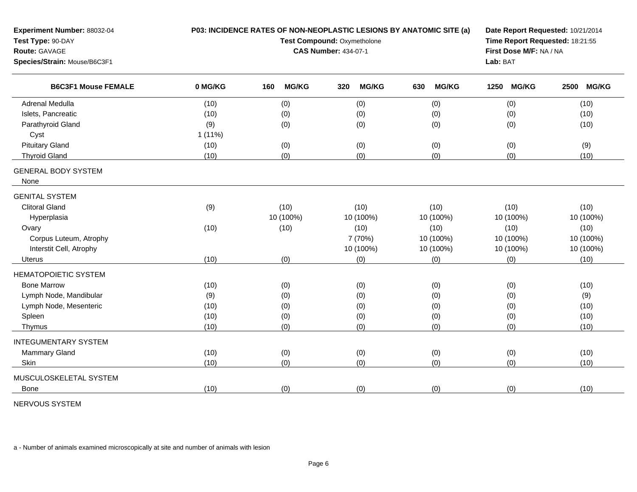| 0 MG/KG<br><b>MG/KG</b><br><b>MG/KG</b><br><b>MG/KG</b><br><b>MG/KG</b><br><b>MG/KG</b><br><b>B6C3F1 Mouse FEMALE</b><br>160<br>320<br>630<br>1250<br>2500<br>Adrenal Medulla<br>(10)<br>(0)<br>(0)<br>(0)<br>(0)<br>(10)<br>Islets, Pancreatic<br>(10)<br>(0)<br>(0)<br>(0)<br>(10)<br>(0)<br>Parathyroid Gland<br>(9)<br>(0)<br>(0)<br>(0)<br>(0)<br>(10)<br>Cyst<br>$1(11\%)$<br><b>Pituitary Gland</b><br>(10)<br>(0)<br>(0)<br>(0)<br>(0)<br>(9)<br><b>Thyroid Gland</b><br>(0)<br>(0)<br>(10)<br>(0)<br>(0)<br>(10)<br><b>GENERAL BODY SYSTEM</b><br>None<br><b>GENITAL SYSTEM</b><br>(10)<br><b>Clitoral Gland</b><br>(9)<br>(10)<br>(10)<br>(10)<br>(10)<br>10 (100%)<br>10 (100%)<br>10 (100%)<br>10 (100%)<br>10 (100%)<br>Hyperplasia<br>(10)<br>(10)<br>(10)<br>(10)<br>(10)<br>(10)<br>Ovary<br>7 (70%)<br>10 (100%)<br>10 (100%)<br>Corpus Luteum, Atrophy<br>10 (100%)<br>Interstit Cell, Atrophy<br>10 (100%)<br>10 (100%)<br>10 (100%)<br>10 (100%)<br>(10)<br>(0)<br>(0)<br>(0)<br>(0)<br>(10)<br>Uterus<br><b>HEMATOPOIETIC SYSTEM</b><br><b>Bone Marrow</b><br>(10)<br>(0)<br>(0)<br>(0)<br>(0)<br>(10)<br>Lymph Node, Mandibular<br>(0)<br>(0)<br>(9)<br>(0)<br>(0)<br>(9) |
|-------------------------------------------------------------------------------------------------------------------------------------------------------------------------------------------------------------------------------------------------------------------------------------------------------------------------------------------------------------------------------------------------------------------------------------------------------------------------------------------------------------------------------------------------------------------------------------------------------------------------------------------------------------------------------------------------------------------------------------------------------------------------------------------------------------------------------------------------------------------------------------------------------------------------------------------------------------------------------------------------------------------------------------------------------------------------------------------------------------------------------------------------------------------------------------------------|
|                                                                                                                                                                                                                                                                                                                                                                                                                                                                                                                                                                                                                                                                                                                                                                                                                                                                                                                                                                                                                                                                                                                                                                                                 |
|                                                                                                                                                                                                                                                                                                                                                                                                                                                                                                                                                                                                                                                                                                                                                                                                                                                                                                                                                                                                                                                                                                                                                                                                 |
|                                                                                                                                                                                                                                                                                                                                                                                                                                                                                                                                                                                                                                                                                                                                                                                                                                                                                                                                                                                                                                                                                                                                                                                                 |
|                                                                                                                                                                                                                                                                                                                                                                                                                                                                                                                                                                                                                                                                                                                                                                                                                                                                                                                                                                                                                                                                                                                                                                                                 |
|                                                                                                                                                                                                                                                                                                                                                                                                                                                                                                                                                                                                                                                                                                                                                                                                                                                                                                                                                                                                                                                                                                                                                                                                 |
|                                                                                                                                                                                                                                                                                                                                                                                                                                                                                                                                                                                                                                                                                                                                                                                                                                                                                                                                                                                                                                                                                                                                                                                                 |
|                                                                                                                                                                                                                                                                                                                                                                                                                                                                                                                                                                                                                                                                                                                                                                                                                                                                                                                                                                                                                                                                                                                                                                                                 |
|                                                                                                                                                                                                                                                                                                                                                                                                                                                                                                                                                                                                                                                                                                                                                                                                                                                                                                                                                                                                                                                                                                                                                                                                 |
|                                                                                                                                                                                                                                                                                                                                                                                                                                                                                                                                                                                                                                                                                                                                                                                                                                                                                                                                                                                                                                                                                                                                                                                                 |
|                                                                                                                                                                                                                                                                                                                                                                                                                                                                                                                                                                                                                                                                                                                                                                                                                                                                                                                                                                                                                                                                                                                                                                                                 |
|                                                                                                                                                                                                                                                                                                                                                                                                                                                                                                                                                                                                                                                                                                                                                                                                                                                                                                                                                                                                                                                                                                                                                                                                 |
|                                                                                                                                                                                                                                                                                                                                                                                                                                                                                                                                                                                                                                                                                                                                                                                                                                                                                                                                                                                                                                                                                                                                                                                                 |
|                                                                                                                                                                                                                                                                                                                                                                                                                                                                                                                                                                                                                                                                                                                                                                                                                                                                                                                                                                                                                                                                                                                                                                                                 |
|                                                                                                                                                                                                                                                                                                                                                                                                                                                                                                                                                                                                                                                                                                                                                                                                                                                                                                                                                                                                                                                                                                                                                                                                 |
|                                                                                                                                                                                                                                                                                                                                                                                                                                                                                                                                                                                                                                                                                                                                                                                                                                                                                                                                                                                                                                                                                                                                                                                                 |
|                                                                                                                                                                                                                                                                                                                                                                                                                                                                                                                                                                                                                                                                                                                                                                                                                                                                                                                                                                                                                                                                                                                                                                                                 |
|                                                                                                                                                                                                                                                                                                                                                                                                                                                                                                                                                                                                                                                                                                                                                                                                                                                                                                                                                                                                                                                                                                                                                                                                 |
|                                                                                                                                                                                                                                                                                                                                                                                                                                                                                                                                                                                                                                                                                                                                                                                                                                                                                                                                                                                                                                                                                                                                                                                                 |
| Lymph Node, Mesenteric<br>(0)<br>(0)<br>(10)<br>(0)<br>(0)<br>(10)                                                                                                                                                                                                                                                                                                                                                                                                                                                                                                                                                                                                                                                                                                                                                                                                                                                                                                                                                                                                                                                                                                                              |
| Spleen<br>(0)<br>(0)<br>(10)<br>(10)<br>(0)<br>(0)                                                                                                                                                                                                                                                                                                                                                                                                                                                                                                                                                                                                                                                                                                                                                                                                                                                                                                                                                                                                                                                                                                                                              |
| (10)<br>(0)<br>(0)<br>(0)<br>(0)<br>(10)<br>Thymus                                                                                                                                                                                                                                                                                                                                                                                                                                                                                                                                                                                                                                                                                                                                                                                                                                                                                                                                                                                                                                                                                                                                              |
| <b>INTEGUMENTARY SYSTEM</b>                                                                                                                                                                                                                                                                                                                                                                                                                                                                                                                                                                                                                                                                                                                                                                                                                                                                                                                                                                                                                                                                                                                                                                     |
| (10)<br>(0)<br>(0)<br>(0)<br>(0)<br>(10)<br>Mammary Gland                                                                                                                                                                                                                                                                                                                                                                                                                                                                                                                                                                                                                                                                                                                                                                                                                                                                                                                                                                                                                                                                                                                                       |
| (0)<br>(10)<br>(0)<br>(0)<br>(0)<br>(10)<br>Skin                                                                                                                                                                                                                                                                                                                                                                                                                                                                                                                                                                                                                                                                                                                                                                                                                                                                                                                                                                                                                                                                                                                                                |
| MUSCULOSKELETAL SYSTEM                                                                                                                                                                                                                                                                                                                                                                                                                                                                                                                                                                                                                                                                                                                                                                                                                                                                                                                                                                                                                                                                                                                                                                          |
| (0)<br>(10)<br>(0)<br>(0)<br>(0)<br>(10)<br><b>Bone</b>                                                                                                                                                                                                                                                                                                                                                                                                                                                                                                                                                                                                                                                                                                                                                                                                                                                                                                                                                                                                                                                                                                                                         |

NERVOUS SYSTEM